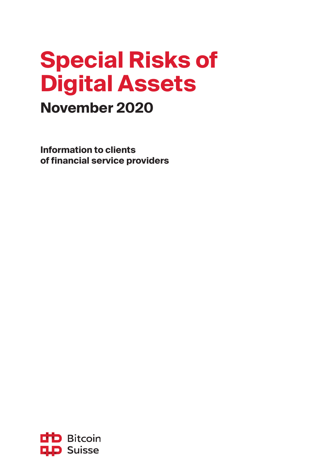# **Special Risks of Digital Assets**

### **November 2020**

**Information to clients of financial service providers** 

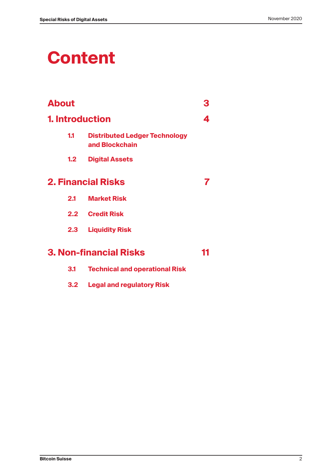## **Content**

| <b>About</b>           |                                                        | З  |
|------------------------|--------------------------------------------------------|----|
| <b>1. Introduction</b> |                                                        | 4  |
| 1.1                    | <b>Distributed Ledger Technology</b><br>and Blockchain |    |
| 1.2                    | <b>Digital Assets</b>                                  |    |
|                        | <b>2. Financial Risks</b>                              |    |
| 2.1                    | <b>Market Risk</b>                                     |    |
|                        | 2.2 Credit Risk                                        |    |
| 2.3                    | <b>Liquidity Risk</b>                                  |    |
|                        | <b>3. Non-financial Risks</b>                          | 11 |
| 3.1                    | <b>Technical and operational Risk</b>                  |    |

- 
- **3.2 Legal and regulatory Risk**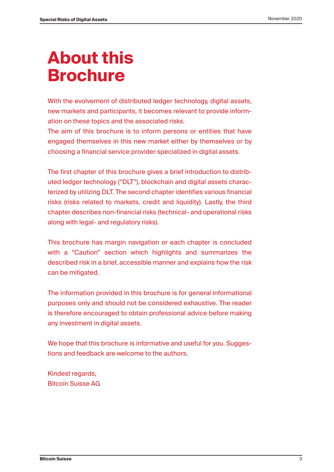## **About this Brochure**

With the evolvement of distributed ledger technology, digital assets, new markets and participants, it becomes relevant to provide information on these topics and the associated risks.

The aim of this brochure is to inform persons or entities that have engaged themselves in this new market either by themselves or by choosing a financial service provider specialized in digital assets.

The first chapter of this brochure gives a brief introduction to distributed ledger technology ("DLT"), blockchain and digital assets characterized by utilizing DLT. The second chapter identifies various financial risks (risks related to markets, credit and liquidity). Lastly, the third chapter describes non-financial risks (technical- and operational risks along with legal- and regulatory risks).

This brochure has margin navigation or each chapter is concluded with a "Caution" section which highlights and summarizes the described risk in a brief, accessible manner and explains how the risk can be mitigated.

The information provided in this brochure is for general informational purposes only and should not be considered exhaustive. The reader is therefore encouraged to obtain professional advice before making any investment in digital assets.

We hope that this brochure is informative and useful for you. Suggestions and feedback are welcome to the authors.

Kindest regards, Bitcoin Suisse AG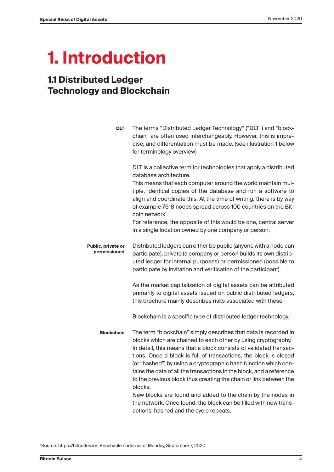## **1. Introduction**

### **1.1 Distributed Ledger Technology and Blockchain**

| <b>DLT</b>                         | The terms "Distributed Ledger Technology" ("DLT") and "block-<br>chain" are often used interchangeably. However, this is impre-<br>cise, and differentiation must be made. (see illustration 1 below<br>for terminology overview)                                                                                                                                                                                                                                                                    |
|------------------------------------|------------------------------------------------------------------------------------------------------------------------------------------------------------------------------------------------------------------------------------------------------------------------------------------------------------------------------------------------------------------------------------------------------------------------------------------------------------------------------------------------------|
|                                    | DLT is a collective term for technologies that apply a distributed<br>database architecture.<br>This means that each computer around the world maintain mul-<br>tiple, identical copies of the database and run a software to<br>align and coordinate this. At the time of writing, there is by way<br>of example 7618 nodes spread across 100 countries on the Bit-<br>coin network <sup>1</sup> .                                                                                                  |
|                                    | For reference, the opposite of this would be one, central server<br>in a single location owned by one company or person.                                                                                                                                                                                                                                                                                                                                                                             |
| Public, private or<br>permissioned | Distributed ledgers can either be public (anyone with a node can<br>participate), private (a company or person builds its own distrib-<br>uted ledger for internal purposes) or permissioned (possible to<br>participate by invitation and verification of the participant).                                                                                                                                                                                                                         |
|                                    | As the market capitalization of digital assets can be attributed<br>primarily to digital assets issued on public distributed ledgers,<br>this brochure mainly describes risks associated with these.                                                                                                                                                                                                                                                                                                 |
|                                    | Blockchain is a specific type of distributed ledger technology.                                                                                                                                                                                                                                                                                                                                                                                                                                      |
| <b>Blockchain</b>                  | The term "blockchain" simply describes that data is recorded in<br>blocks which are chained to each other by using cryptography.<br>In detail, this means that a block consists of validated transac-<br>tions. Once a block is full of transactions, the block is closed<br>(or "hashed") by using a cryptographic hash function which con-<br>tains the data of all the transactions in the block, and a reference<br>to the previous block thus creating the chain or link between the<br>blocks. |
|                                    | New blocks are found and added to the chain by the nodes in<br>the network. Once found, the block can be filled with new trans-                                                                                                                                                                                                                                                                                                                                                                      |

actions, hashed and the cycle repeats.

1 Source: https://bitnodes.io/. Reachable nodes as of Monday, September 7, 2020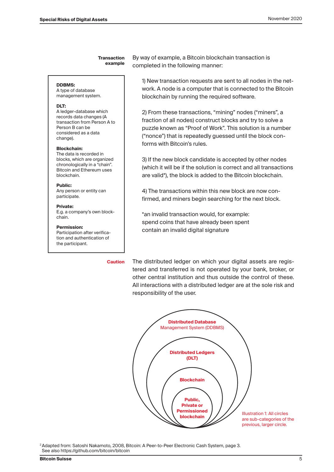**Transaction example** By way of example, a Bitcoin blockchain transaction is completed in the following manner:

**DDBMS:** 

A type of database management system.

#### **DLT:**

A ledger-database which records data changes (A transaction from Person A to Person B can be considered as a data change).

#### **Blockchain:**

The data is recorded in blocks, which are organized chronologically in a "chain". Bitcoin and Ethereum uses blockchain.

**Public:** 

Any person or entity can participate.

#### **Private:**

E.g. a company's own blockchain.

#### **Permission:**

Participation after verification and authentication of the participant.

**Caution**

1) New transaction requests are sent to all nodes in the network. A node is a computer that is connected to the Bitcoin blockchain by running the required software.

2) From these transactions, "mining" nodes ("miners", a fraction of all nodes) construct blocks and try to solve a puzzle known as "Proof of Work". This solution is a number ("nonce") that is repeatedly guessed until the block conforms with Bitcoin's rules.

3) If the new block candidate is accepted by other nodes (which it will be if the solution is correct and all transactions are valid\*), the block is added to the Bitcoin blockchain.

4) The transactions within this new block are now confirmed, and miners begin searching for the next block.

\*an invalid transaction would, for example: spend coins that have already been spent contain an invalid digital signature

The distributed ledger on which your digital assets are registered and transferred is not operated by your bank, broker, or other central institution and thus outside the control of these. All interactions with a distributed ledger are at the sole risk and responsibility of the user.



2 Adapted from: Satoshi Nakamoto, 2008, Bitcoin: A Peer-to-Peer Electronic Cash System, page 3. See also https://github.com/bitcoin/bitcoin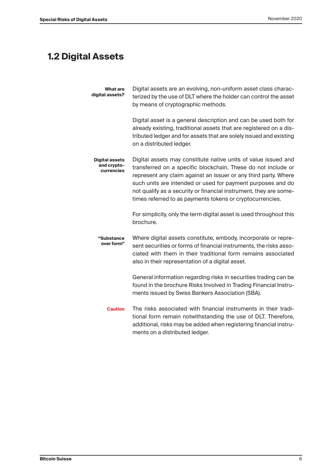### **1.2 Digital Assets**

| What are<br>digital assets?                        | Digital assets are an evolving, non-uniform asset class charac-<br>terized by the use of DLT where the holder can control the asset<br>by means of cryptographic methods.                                                                                                                                                                                                                           |
|----------------------------------------------------|-----------------------------------------------------------------------------------------------------------------------------------------------------------------------------------------------------------------------------------------------------------------------------------------------------------------------------------------------------------------------------------------------------|
|                                                    | Digital asset is a general description and can be used both for<br>already existing, traditional assets that are registered on a dis-<br>tributed ledger and for assets that are solely issued and existing<br>on a distributed ledger.                                                                                                                                                             |
| <b>Digital assets</b><br>and crypto-<br>currencies | Digital assets may constitute native units of value issued and<br>transferred on a specific blockchain. These do not include or<br>represent any claim against an issuer or any third party. Where<br>such units are intended or used for payment purposes and do<br>not qualify as a security or financial instrument, they are some-<br>times referred to as payments tokens or cryptocurrencies. |
|                                                    | For simplicity, only the term digital asset is used throughout this<br>brochure.                                                                                                                                                                                                                                                                                                                    |
| "Substance<br>over form"                           | Where digital assets constitute, embody, incorporate or repre-<br>sent securities or forms of financial instruments, the risks asso-<br>ciated with them in their traditional form remains associated<br>also in their representation of a digital asset.                                                                                                                                           |
|                                                    | General information regarding risks in securities trading can be<br>found in the brochure Risks Involved in Trading Financial Instru-<br>ments issued by Swiss Bankers Association (SBA).                                                                                                                                                                                                           |
| <b>Caution</b>                                     | The risks associated with financial instruments in their tradi-<br>tional form remain notwithstanding the use of DLT. Therefore,<br>additional, risks may be added when registering financial instru-<br>ments on a distributed ledger.                                                                                                                                                             |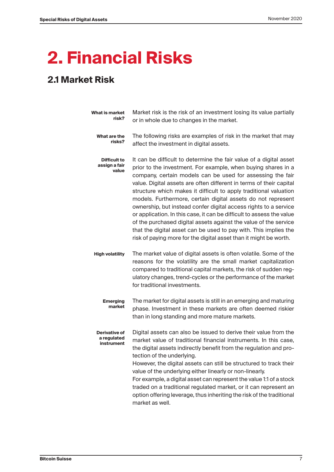## **2. Financial Risks**

### **2.1 Market Risk**

| What is market<br>risk?                       | Market risk is the risk of an investment losing its value partially<br>or in whole due to changes in the market.                                                                                                                                                                                                                                                                                                                                                                                                                                                                                                                                                                                                                                                        |
|-----------------------------------------------|-------------------------------------------------------------------------------------------------------------------------------------------------------------------------------------------------------------------------------------------------------------------------------------------------------------------------------------------------------------------------------------------------------------------------------------------------------------------------------------------------------------------------------------------------------------------------------------------------------------------------------------------------------------------------------------------------------------------------------------------------------------------------|
| What are the<br>risks?                        | The following risks are examples of risk in the market that may<br>affect the investment in digital assets.                                                                                                                                                                                                                                                                                                                                                                                                                                                                                                                                                                                                                                                             |
| <b>Difficult to</b><br>assign a fair<br>value | It can be difficult to determine the fair value of a digital asset<br>prior to the investment. For example, when buying shares in a<br>company, certain models can be used for assessing the fair<br>value. Digital assets are often different in terms of their capital<br>structure which makes it difficult to apply traditional valuation<br>models. Furthermore, certain digital assets do not represent<br>ownership, but instead confer digital access rights to a service<br>or application. In this case, it can be difficult to assess the value<br>of the purchased digital assets against the value of the service<br>that the digital asset can be used to pay with. This implies the<br>risk of paying more for the digital asset than it might be worth. |
| <b>High volatility</b>                        | The market value of digital assets is often volatile. Some of the<br>reasons for the volatility are the small market capitalization<br>compared to traditional capital markets, the risk of sudden reg-<br>ulatory changes, trend-cycles or the performance of the market<br>for traditional investments.                                                                                                                                                                                                                                                                                                                                                                                                                                                               |
| <b>Emerging</b><br>market                     | The market for digital assets is still in an emerging and maturing<br>phase. Investment in these markets are often deemed riskier<br>than in long standing and more mature markets.                                                                                                                                                                                                                                                                                                                                                                                                                                                                                                                                                                                     |
| Derivative of<br>a regulated<br>instrument    | Digital assets can also be issued to derive their value from the<br>market value of traditional financial instruments. In this case,<br>the digital assets indirectly benefit from the regulation and pro-<br>tection of the underlying.<br>However, the digital assets can still be structured to track their<br>value of the underlying either linearly or non-linearly.<br>For example, a digital asset can represent the value 1:1 of a stock<br>traded on a traditional regulated market, or it can represent an<br>option offering leverage, thus inheriting the risk of the traditional<br>market as well.                                                                                                                                                       |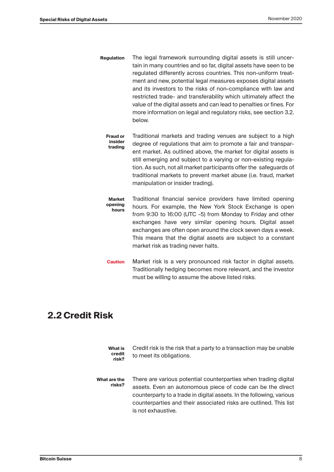- The legal framework surrounding digital assets is still uncertain in many countries and so far, digital assets have seen to be regulated differently across countries. This non-uniform treatment and new, potential legal measures exposes digital assets and its investors to the risks of non-compliance with law and restricted trade- and transferability which ultimately affect the value of the digital assets and can lead to penalties or fines. For more information on legal and regulatory risks, see section 3.2. below. **Regulation**
	- Traditional markets and trading venues are subject to a high degree of regulations that aim to promote a fair and transparent market. As outlined above, the market for digital assets is still emerging and subject to a varying or non-existing regulation. As such, not all market participants offer the safeguards of traditional markets to prevent market abuse (i.e. fraud, market manipulation or insider trading). **Fraud or insider trading**
	- Traditional financial service providers have limited opening hours. For example, the New York Stock Exchange is open from 9:30 to 16:00 (UTC -5) from Monday to Friday and other exchanges have very similar opening hours. Digital asset exchanges are often open around the clock seven days a week. This means that the digital assets are subject to a constant market risk as trading never halts. **Market opening hours**
	- Market risk is a very pronounced risk factor in digital assets. Traditionally hedging becomes more relevant, and the investor must be willing to assume the above listed risks. **Caution**

#### **2.2 Credit Risk**

Credit risk is the risk that a party to a transaction may be unable to meet its obligations. **What is credit risk?**

There are various potential counterparties when trading digital assets. Even an autonomous piece of code can be the direct counterparty to a trade in digital assets. In the following, various counterparties and their associated risks are outlined. This list is not exhaustive. **What are the risks?**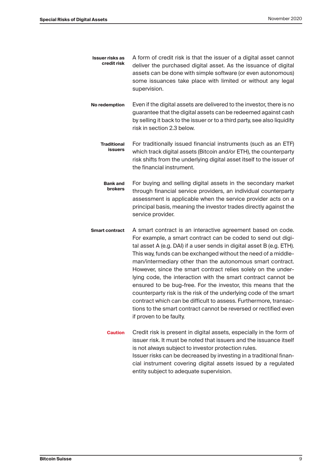- A form of credit risk is that the issuer of a digital asset cannot deliver the purchased digital asset. As the issuance of digital assets can be done with simple software (or even autonomous) some issuances take place with limited or without any legal supervision. **Issuer risks as credit risk**
- Even if the digital assets are delivered to the investor, there is no guarantee that the digital assets can be redeemed against cash by selling it back to the issuer or to a third party, see also liquidity risk in section 2.3 below. **No redemption** 
	- For traditionally issued financial instruments (such as an ETF) which track digital assets (Bitcoin and/or ETH), the counterparty risk shifts from the underlying digital asset itself to the issuer of the financial instrument. **Traditional issuers**
	- For buying and selling digital assets in the secondary market through financial service providers, an individual counterparty assessment is applicable when the service provider acts on a principal basis, meaning the investor trades directly against the service provider. **Bank and brokers**
- A smart contract is an interactive agreement based on code. For example, a smart contract can be coded to send out digital asset A (e.g. DAI) if a user sends in digital asset B (e.g. ETH). This way, funds can be exchanged without the need of a middleman/intermediary other than the autonomous smart contract. However, since the smart contract relies solely on the underlying code, the interaction with the smart contract cannot be ensured to be bug-free. For the investor, this means that the counterparty risk is the risk of the underlying code of the smart contract which can be difficult to assess. Furthermore, transactions to the smart contract cannot be reversed or rectified even if proven to be faulty. **Smart contract** 
	- Credit risk is present in digital assets, especially in the form of issuer risk. It must be noted that issuers and the issuance itself is not always subject to investor protection rules. Issuer risks can be decreased by investing in a traditional financial instrument covering digital assets issued by a regulated entity subject to adequate supervision. **Caution**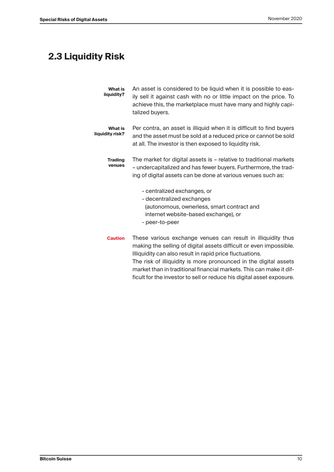### **2.3 Liquidity Risk**

| <b>What is</b><br>liquidity? | An asset is considered to be liquid when it is possible to eas-<br>ily sell it against cash with no or little impact on the price. To<br>achieve this, the marketplace must have many and highly capi-<br>talized buyers.                                                                                                                                                                                          |
|------------------------------|--------------------------------------------------------------------------------------------------------------------------------------------------------------------------------------------------------------------------------------------------------------------------------------------------------------------------------------------------------------------------------------------------------------------|
| What is<br>liquidity risk?   | Per contra, an asset is illiquid when it is difficult to find buyers<br>and the asset must be sold at a reduced price or cannot be sold<br>at all. The investor is then exposed to liquidity risk.                                                                                                                                                                                                                 |
| <b>Trading</b><br>venues     | The market for digital assets is - relative to traditional markets<br>- undercapitalized and has fewer buyers. Furthermore, the trad-<br>ing of digital assets can be done at various venues such as:                                                                                                                                                                                                              |
|                              | - centralized exchanges, or<br>- decentralized exchanges<br>(autonomous, ownerless, smart contract and<br>internet website-based exchange), or<br>- peer-to-peer                                                                                                                                                                                                                                                   |
| <b>Caution</b>               | These various exchange venues can result in illiquidity thus<br>making the selling of digital assets difficult or even impossible.<br>Illiquidity can also result in rapid price fluctuations.<br>The risk of illiquidity is more pronounced in the digital assets<br>market than in traditional financial markets. This can make it dif-<br>ficult for the investor to sell or reduce his digital asset exposure. |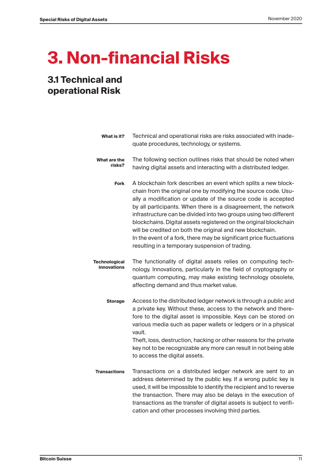## **3. Non-financial Risks**

### **3.1 Technical and operational Risk**

| What is it?                                | Technical and operational risks are risks associated with inade-<br>quate procedures, technology, or systems.                                                                                                                                                                                                                                                                                                                                                                                                                                                                                       |
|--------------------------------------------|-----------------------------------------------------------------------------------------------------------------------------------------------------------------------------------------------------------------------------------------------------------------------------------------------------------------------------------------------------------------------------------------------------------------------------------------------------------------------------------------------------------------------------------------------------------------------------------------------------|
| What are the<br>risks?                     | The following section outlines risks that should be noted when<br>having digital assets and interacting with a distributed ledger.                                                                                                                                                                                                                                                                                                                                                                                                                                                                  |
| <b>Fork</b>                                | A blockchain fork describes an event which splits a new block-<br>chain from the original one by modifying the source code. Usu-<br>ally a modification or update of the source code is accepted<br>by all participants. When there is a disagreement, the network<br>infrastructure can be divided into two groups using two different<br>blockchains. Digital assets registered on the original blockchain<br>will be credited on both the original and new blockchain.<br>In the event of a fork, there may be significant price fluctuations<br>resulting in a temporary suspension of trading. |
| <b>Technological</b><br><b>innovations</b> | The functionality of digital assets relies on computing tech-<br>nology. Innovations, particularly in the field of cryptography or<br>quantum computing, may make existing technology obsolete,<br>affecting demand and thus market value.                                                                                                                                                                                                                                                                                                                                                          |
| <b>Storage</b>                             | Access to the distributed ledger network is through a public and<br>a private key. Without these, access to the network and there-<br>fore to the digital asset is impossible. Keys can be stored on<br>various media such as paper wallets or ledgers or in a physical<br>vault.<br>Theft, loss, destruction, hacking or other reasons for the private<br>key not to be recognizable any more can result in not being able<br>to access the digital assets.                                                                                                                                        |
| <b>Transactions</b>                        | Transactions on a distributed ledger network are sent to an<br>address determined by the public key. If a wrong public key is<br>used, it will be impossible to identify the recipient and to reverse<br>the transaction. There may also be delays in the execution of<br>transactions as the transfer of digital assets is subject to verifi-<br>cation and other processes involving third parties.                                                                                                                                                                                               |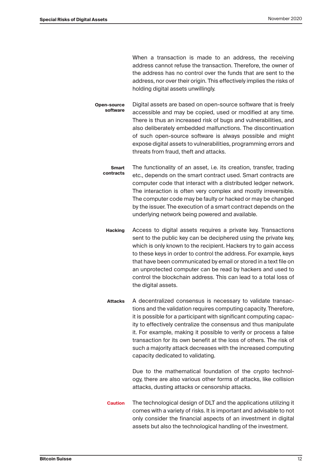When a transaction is made to an address, the receiving address cannot refuse the transaction. Therefore, the owner of the address has no control over the funds that are sent to the address, nor over their origin. This effectively implies the risks of holding digital assets unwillingly.

- Digital assets are based on open-source software that is freely accessible and may be copied, used or modified at any time. There is thus an increased risk of bugs and vulnerabilities, and also deliberately embedded malfunctions. The discontinuation of such open-source software is always possible and might expose digital assets to vulnerabilities, programming errors and threats from fraud, theft and attacks. **Open-source software**
	- The functionality of an asset, i.e. its creation, transfer, trading etc., depends on the smart contract used. Smart contracts are computer code that interact with a distributed ledger network. The interaction is often very complex and mostly irreversible. The computer code may be faulty or hacked or may be changed by the issuer. The execution of a smart contract depends on the underlying network being powered and available. **Smart contracts**
		- Access to digital assets requires a private key. Transactions sent to the public key can be deciphered using the private key, which is only known to the recipient. Hackers try to gain access to these keys in order to control the address. For example, keys that have been communicated by email or stored in a text file on an unprotected computer can be read by hackers and used to control the blockchain address. This can lead to a total loss of the digital assets. **Hacking**
		- A decentralized consensus is necessary to validate transactions and the validation requires computing capacity. Therefore, it is possible for a participant with significant computing capacity to effectively centralize the consensus and thus manipulate it. For example, making it possible to verify or process a false transaction for its own benefit at the loss of others. The risk of such a majority attack decreases with the increased computing capacity dedicated to validating. **Attacks**

Due to the mathematical foundation of the crypto technology, there are also various other forms of attacks, like collision attacks, dusting attacks or censorship attacks.

The technological design of DLT and the applications utilizing it comes with a variety of risks. It is important and advisable to not only consider the financial aspects of an investment in digital assets but also the technological handling of the investment. **Caution**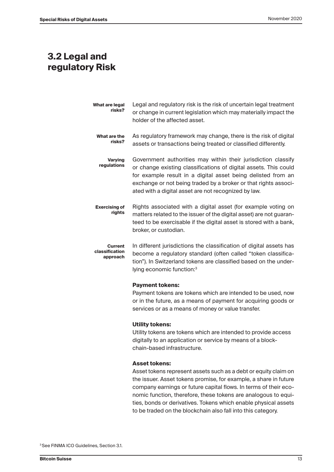#### **3.2 Legal and regulatory Risk**

| What are legal<br>risks?              | Legal and regulatory risk is the risk of uncertain legal treatment<br>or change in current legislation which may materially impact the<br>holder of the affected asset.                                                                                                                                                      |
|---------------------------------------|------------------------------------------------------------------------------------------------------------------------------------------------------------------------------------------------------------------------------------------------------------------------------------------------------------------------------|
| What are the<br>risks?                | As regulatory framework may change, there is the risk of digital<br>assets or transactions being treated or classified differently.                                                                                                                                                                                          |
| <b>Varying</b><br>regulations         | Government authorities may within their jurisdiction classify<br>or change existing classifications of digital assets. This could<br>for example result in a digital asset being delisted from an<br>exchange or not being traded by a broker or that rights associ-<br>ated with a digital asset are not recognized by law. |
| <b>Exercising of</b><br>rights        | Rights associated with a digital asset (for example voting on<br>matters related to the issuer of the digital asset) are not guaran-<br>teed to be exercisable if the digital asset is stored with a bank,<br>broker, or custodian.                                                                                          |
| Current<br>classification<br>approach | In different jurisdictions the classification of digital assets has<br>become a regulatory standard (often called "token classifica-<br>tion"). In Switzerland tokens are classified based on the under-<br>lying economic function: <sup>3</sup>                                                                            |
|                                       | <b>Payment tokens:</b><br>Payment tokens are tokens which are intended to be used, now<br>or in the future, as a means of payment for acquiring goods or<br>services or as a means of money or value transfer.                                                                                                               |
|                                       | <b>Utility tokens:</b><br>Utility tokens are tokens which are intended to provide access<br>digitally to an application or service by means of a block-                                                                                                                                                                      |

#### **Asset tokens:**

chain-based infrastructure.

Asset tokens represent assets such as a debt or equity claim on the issuer. Asset tokens promise, for example, a share in future company earnings or future capital flows. In terms of their economic function, therefore, these tokens are analogous to equities, bonds or derivatives. Tokens which enable physical assets to be traded on the blockchain also fall into this category.

3 See FINMA ICO Guidelines, Section 3.1.